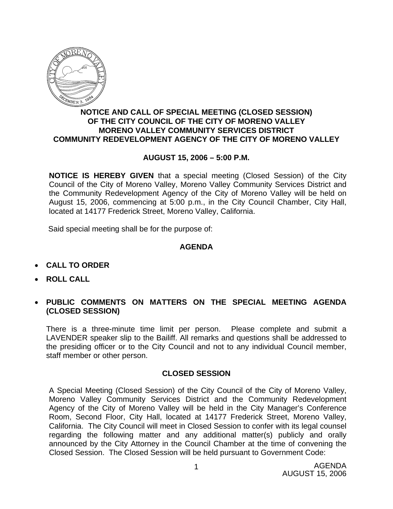

## **NOTICE AND CALL OF SPECIAL MEETING (CLOSED SESSION) OF THE CITY COUNCIL OF THE CITY OF MORENO VALLEY MORENO VALLEY COMMUNITY SERVICES DISTRICT COMMUNITY REDEVELOPMENT AGENCY OF THE CITY OF MORENO VALLEY**

## **AUGUST 15, 2006 – 5:00 P.M.**

**NOTICE IS HEREBY GIVEN** that a special meeting (Closed Session) of the City Council of the City of Moreno Valley, Moreno Valley Community Services District and the Community Redevelopment Agency of the City of Moreno Valley will be held on August 15, 2006, commencing at 5:00 p.m., in the City Council Chamber, City Hall, located at 14177 Frederick Street, Moreno Valley, California.

Said special meeting shall be for the purpose of:

## **AGENDA**

- **CALL TO ORDER**
- **ROLL CALL**
- **PUBLIC COMMENTS ON MATTERS ON THE SPECIAL MEETING AGENDA (CLOSED SESSION)**

There is a three-minute time limit per person. Please complete and submit a LAVENDER speaker slip to the Bailiff. All remarks and questions shall be addressed to the presiding officer or to the City Council and not to any individual Council member, staff member or other person.

## **CLOSED SESSION**

A Special Meeting (Closed Session) of the City Council of the City of Moreno Valley, Moreno Valley Community Services District and the Community Redevelopment Agency of the City of Moreno Valley will be held in the City Manager's Conference Room, Second Floor, City Hall, located at 14177 Frederick Street, Moreno Valley, California. The City Council will meet in Closed Session to confer with its legal counsel regarding the following matter and any additional matter(s) publicly and orally announced by the City Attorney in the Council Chamber at the time of convening the Closed Session. The Closed Session will be held pursuant to Government Code: